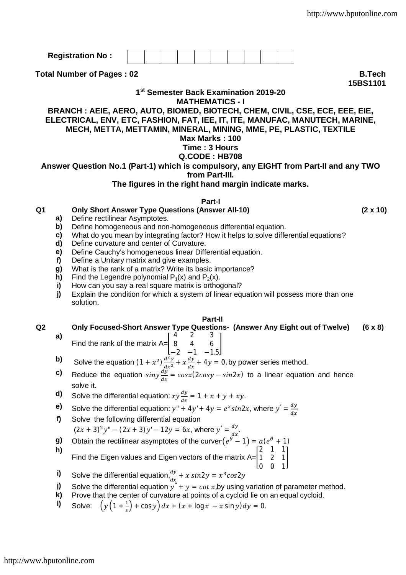**Registration No :**

**Total Number of Pages : 02 B.Tech** 

### **1 st Semester Back Examination 2019-20 MATHEMATICS - I**

### **BRANCH : AEIE, AERO, AUTO, BIOMED, BIOTECH, CHEM, CIVIL, CSE, ECE, EEE, EIE, ELECTRICAL, ENV, ETC, FASHION, FAT, IEE, IT, ITE, MANUFAC, MANUTECH, MARINE, MECH, METTA, METTAMIN, MINERAL, MINING, MME, PE, PLASTIC, TEXTILE**

## **Max Marks : 100**

# **Time : 3 Hours**

## **Q.CODE : HB708**

# **Answer Question No.1 (Part-1) which is compulsory, any EIGHT from Part-II and any TWO**

**from Part-III.**

### **The figures in the right hand margin indicate marks.**

#### **Part-I**

### **Q1 Only Short Answer Type Questions (Answer All-10) (2 x 10)**

- **a)** Define rectilinear Asymptotes.
- **b)** Define homogeneous and non-homogeneous differential equation.
- **c)** What do you mean by integrating factor? How it helps to solve differential equations?
- **d)** Define curvature and center of Curvature.
- **e)** Define Cauchy's homogeneous linear Differential equation.
- **f)** Define a Unitary matrix and give examples.
- **g)** What is the rank of a matrix? Write its basic importance?
- **h)** Find the Legendre polynomial  $P_1(x)$  and  $P_2(x)$ .
- **i)** How can you say a real square matrix is orthogonal?
- **j)** Explain the condition for which a system of linear equation will possess more than one solution.

#### **Part-II**

**Q2 Only Focused-Short Answer Type Questions- (Answer Any Eight out of Twelve) (6 x 8) a)** 4 2 3

 $\overline{\phantom{a}}$ 

- Find the rank of the matrix  $A =$ 8 4 6 −2 −1 −1.5
- **b)** Solve the equation  $(1 + x^2) \frac{d^2y}{dx^2}$  $\frac{d^2y}{dx^2} + x$ dy  $\frac{dy}{dx}$  + 4y = 0, by power series method.
- **c)** Reduce the equation  $\sin y \frac{dy}{dx} = \cos x (2 \cos y \sin 2x)$  to a linear equation and hence solve it.
- **d)** Solve the differential equation:  $xy \frac{dy}{dx}$  $\frac{dy}{dx} = 1 + x + y + xy.$
- **e)** Solve the differential equation:  $y'' + 4y' + 4y = e^x \sin 2x$ , where  $y' = \frac{dy}{dx}$  $dx$
- **f)** Solve the following differential equation
	- $(2x + 3)^2 y'' (2x + 3)y' 12y = 6x$ , where  $y' = \frac{dy}{dx}$  $\frac{dy}{dx}$ .
- **g)** Obtain the rectilinear asymptotes of the curver $(e^{\theta} 1) = a(e^{\theta} + 1)$ **h)**
- Find the Eigen values and Eigen vectors of the matrix  $A=$ 2 1 1 1 2 1  $\mathsf{l}$
- **i)** Solve the differential equation, $\frac{dy}{dx} + x \sin 2y = x^3 \cos 2y$
- **j)** Solve the differential equation  $y'' + y = \cot x$ , by using variation of parameter method.

0 0 1

- **k)** Prove that the center of curvature at points of a cycloid lie on an equal cycloid.
- **l)** Solve:  $\left(y\left(1+\frac{1}{x}\right)\right)$  $\int \frac{1}{x} dx + \frac{(x + \log x - x \sin y)}{y} dy = 0.$

**15BS1101**